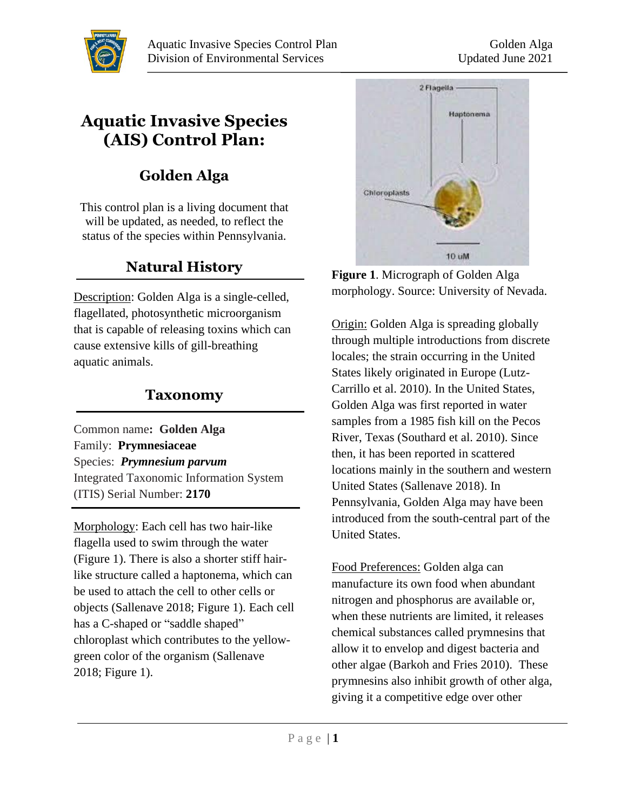

# **Aquatic Invasive Species (AIS) Control Plan:**

# **Golden Alga**

This control plan is a living document that will be updated, as needed, to reflect the status of the species within Pennsylvania.

## **Natural History**

Description: Golden Alga is a single-celled, flagellated, photosynthetic microorganism that is capable of releasing toxins which can cause extensive kills of gill-breathing aquatic animals.

### **Taxonomy**

Common name**: Golden Alga** Family: **[Prymnesiaceae](http://www.itis.gov/servlet/SingleRpt/SingleRpt?search_topic=TSN&search_value=2159)** Species: *Prymnesium parvum* Integrated Taxonomic Information System (ITIS) Serial Number: **2170**

Morphology: Each cell has two hair-like flagella used to swim through the water (Figure 1). There is also a shorter stiff hairlike structure called a haptonema, which can be used to attach the cell to other cells or objects (Sallenave 2018; Figure 1). Each cell has a C-shaped or "saddle shaped" chloroplast which contributes to the yellowgreen color of the organism (Sallenave 2018; Figure 1).



**Figure 1**. Micrograph of Golden Alga morphology. Source: University of Nevada.

Origin: Golden Alga is spreading globally through multiple introductions from discrete locales; the strain occurring in the United States likely originated in Europe (Lutz-Carrillo et al. 2010). In the United States, Golden Alga was first reported in water samples from a 1985 fish kill on the Pecos River, Texas (Southard et al. 2010). Since then, it has been reported in scattered locations mainly in the southern and western United States (Sallenave 2018). In Pennsylvania, Golden Alga may have been introduced from the south-central part of the United States.

Food Preferences: Golden alga can manufacture its own food when abundant nitrogen and phosphorus are available or, when these nutrients are limited, it releases chemical substances called prymnesins that allow it to envelop and digest bacteria and other algae (Barkoh and Fries 2010). These prymnesins also inhibit growth of other alga, giving it a competitive edge over other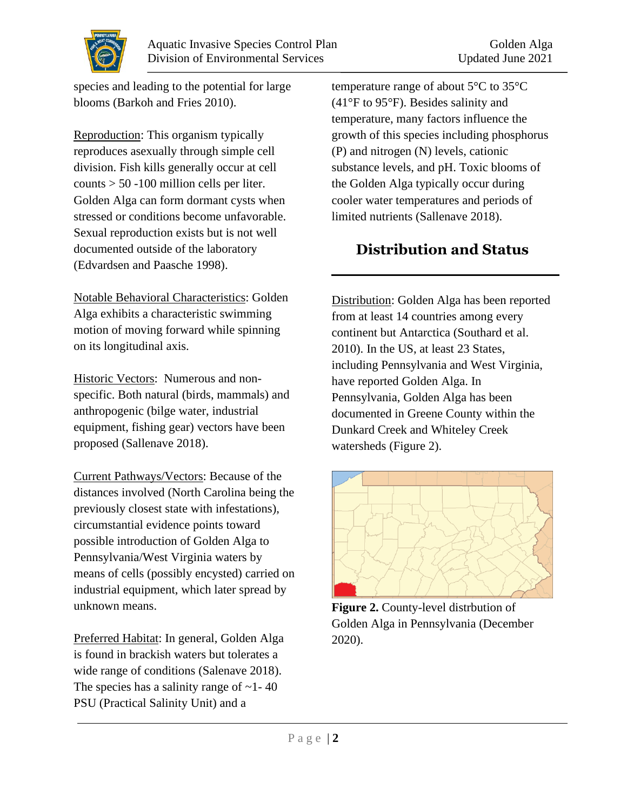

species and leading to the potential for large blooms (Barkoh and Fries 2010).

Reproduction: This organism typically reproduces asexually through simple cell division. Fish kills generally occur at cell counts > 50 -100 million cells per liter. Golden Alga can form dormant cysts when stressed or conditions become unfavorable. Sexual reproduction exists but is not well documented outside of the laboratory (Edvardsen and Paasche 1998).

Notable Behavioral Characteristics: Golden Alga exhibits a characteristic swimming motion of moving forward while spinning on its longitudinal axis.

Historic Vectors: Numerous and nonspecific. Both natural (birds, mammals) and anthropogenic (bilge water, industrial equipment, fishing gear) vectors have been proposed (Sallenave 2018).

Current Pathways/Vectors: Because of the distances involved (North Carolina being the previously closest state with infestations), circumstantial evidence points toward possible introduction of Golden Alga to Pennsylvania/West Virginia waters by means of cells (possibly encysted) carried on industrial equipment, which later spread by unknown means.

Preferred Habitat: In general, Golden Alga is found in brackish waters but tolerates a wide range of conditions (Salenave 2018). The species has a salinity range of  $\sim$  1 - 40 PSU (Practical Salinity Unit) and a

temperature range of about 5°C to 35°C (41°F to 95°F). Besides salinity and temperature, many factors influence the growth of this species including phosphorus (P) and nitrogen (N) levels, cationic substance levels, and pH. Toxic blooms of the Golden Alga typically occur during cooler water temperatures and periods of limited nutrients (Sallenave 2018).

## **Distribution and Status**

Distribution: Golden Alga has been reported from at least 14 countries among every continent but Antarctica (Southard et al. 2010). In the US, at least 23 States, including Pennsylvania and West Virginia, have reported Golden Alga. In Pennsylvania, Golden Alga has been documented in Greene County within the Dunkard Creek and Whiteley Creek watersheds (Figure 2).



**Figure 2.** County-level distrbution of Golden Alga in Pennsylvania (December 2020).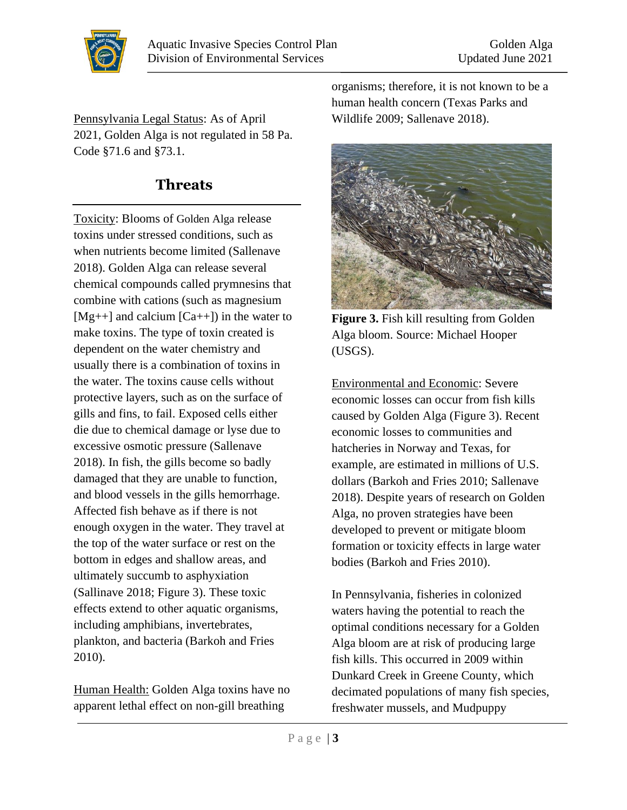

Pennsylvania Legal Status: As of April 2021, Golden Alga is not regulated in 58 Pa. Code §71.6 and §73.1.

### **Threats**

Toxicity: Blooms of Golden Alga release toxins under stressed conditions, such as when nutrients become limited (Sallenave 2018). Golden Alga can release several chemical compounds called prymnesins that combine with cations (such as magnesium [ $Mg++$ ] and calcium [ $Ca++$ ]) in the water to make toxins. The type of toxin created is dependent on the water chemistry and usually there is a combination of toxins in the water. The toxins cause cells without protective layers, such as on the surface of gills and fins, to fail. Exposed cells either die due to chemical damage or lyse due to excessive osmotic pressure (Sallenave 2018). In fish, the gills become so badly damaged that they are unable to function, and blood vessels in the gills hemorrhage. Affected fish behave as if there is not enough oxygen in the water. They travel at the top of the water surface or rest on the bottom in edges and shallow areas, and ultimately succumb to asphyxiation (Sallinave 2018; Figure 3). These toxic effects extend to other aquatic organisms, including amphibians, invertebrates, plankton, and bacteria (Barkoh and Fries 2010).

Human Health: Golden Alga toxins have no apparent lethal effect on non-gill breathing

organisms; therefore, it is not known to be a human health concern (Texas Parks and Wildlife 2009; Sallenave 2018).



**Figure 3.** Fish kill resulting from Golden Alga bloom. Source: Michael Hooper (USGS).

Environmental and Economic: Severe economic losses can occur from fish kills caused by Golden Alga (Figure 3). Recent economic losses to communities and hatcheries in Norway and Texas, for example, are estimated in millions of U.S. dollars (Barkoh and Fries 2010; Sallenave 2018). Despite years of research on Golden Alga, no proven strategies have been developed to prevent or mitigate bloom formation or toxicity effects in large water bodies (Barkoh and Fries 2010).

In Pennsylvania, fisheries in colonized waters having the potential to reach the optimal conditions necessary for a Golden Alga bloom are at risk of producing large fish kills. This occurred in 2009 within Dunkard Creek in Greene County, which decimated populations of many fish species, freshwater mussels, and Mudpuppy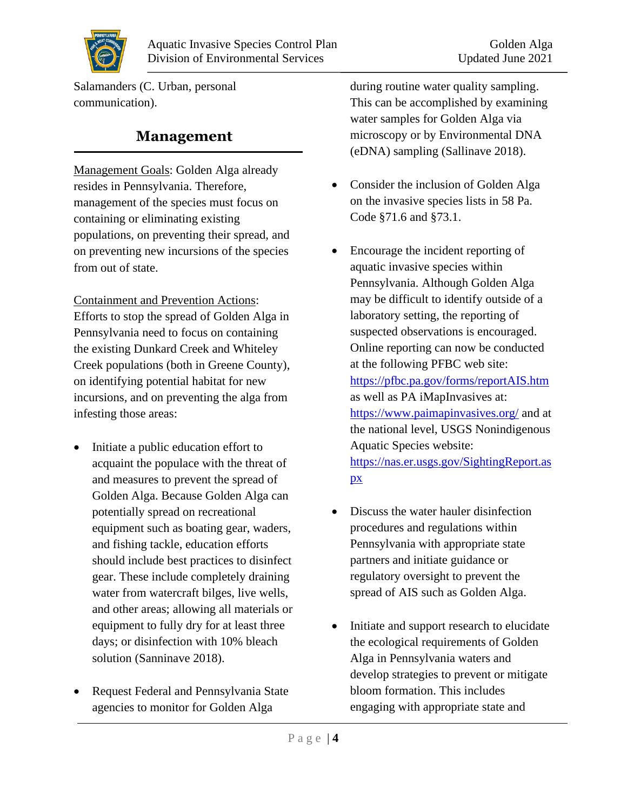

Salamanders (C. Urban, personal communication).

#### **Management**

Management Goals: Golden Alga already resides in Pennsylvania. Therefore, management of the species must focus on containing or eliminating existing populations, on preventing their spread, and on preventing new incursions of the species from out of state.

Containment and Prevention Actions: Efforts to stop the spread of Golden Alga in Pennsylvania need to focus on containing the existing Dunkard Creek and Whiteley Creek populations (both in Greene County), on identifying potential habitat for new incursions, and on preventing the alga from infesting those areas:

- Initiate a public education effort to acquaint the populace with the threat of and measures to prevent the spread of Golden Alga. Because Golden Alga can potentially spread on recreational equipment such as boating gear, waders, and fishing tackle, education efforts should include best practices to disinfect gear. These include completely draining water from watercraft bilges, live wells, and other areas; allowing all materials or equipment to fully dry for at least three days; or disinfection with 10% bleach solution (Sanninave 2018).
- Request Federal and Pennsylvania State agencies to monitor for Golden Alga

during routine water quality sampling. This can be accomplished by examining water samples for Golden Alga via microscopy or by Environmental DNA (eDNA) sampling (Sallinave 2018).

- Consider the inclusion of Golden Alga on the invasive species lists in 58 Pa. Code §71.6 and §73.1.
- Encourage the incident reporting of aquatic invasive species within Pennsylvania. Although Golden Alga may be difficult to identify outside of a laboratory setting, the reporting of suspected observations is encouraged. Online reporting can now be conducted at the following PFBC web site: <https://pfbc.pa.gov/forms/reportAIS.htm> as well as PA iMapInvasives at: <https://www.paimapinvasives.org/> and at the national level, USGS Nonindigenous Aquatic Species website: [https://nas.er.usgs.gov/SightingReport.as](https://nas.er.usgs.gov/SightingReport.aspx) [px](https://nas.er.usgs.gov/SightingReport.aspx)
- Discuss the water hauler disinfection procedures and regulations within Pennsylvania with appropriate state partners and initiate guidance or regulatory oversight to prevent the spread of AIS such as Golden Alga.
- Initiate and support research to elucidate the ecological requirements of Golden Alga in Pennsylvania waters and develop strategies to prevent or mitigate bloom formation. This includes engaging with appropriate state and